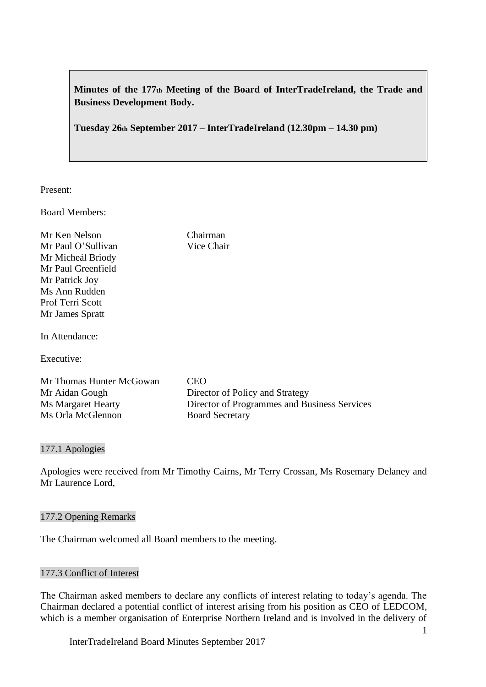**Minutes of the 177th Meeting of the Board of InterTradeIreland, the Trade and Business Development Body.**

**Tuesday 26th September 2017 – InterTradeIreland (12.30pm – 14.30 pm)**

Present:

Board Members:

Mr Ken Nelson Chairman Mr Paul O'Sullivan Vice Chair Mr Micheál Briody Mr Paul Greenfield Mr Patrick Joy Ms Ann Rudden Prof Terri Scott Mr James Spratt

In Attendance:

Executive:

Mr Thomas Hunter McGowan CEO Mr Aidan Gough Director of Policy and Strategy Ms Orla McGlennon Board Secretary

Ms Margaret Hearty Director of Programmes and Business Services

177.1 Apologies

Apologies were received from Mr Timothy Cairns, Mr Terry Crossan, Ms Rosemary Delaney and Mr Laurence Lord,

### 177.2 Opening Remarks

The Chairman welcomed all Board members to the meeting.

# 177.3 Conflict of Interest

The Chairman asked members to declare any conflicts of interest relating to today's agenda. The Chairman declared a potential conflict of interest arising from his position as CEO of LEDCOM, which is a member organisation of Enterprise Northern Ireland and is involved in the delivery of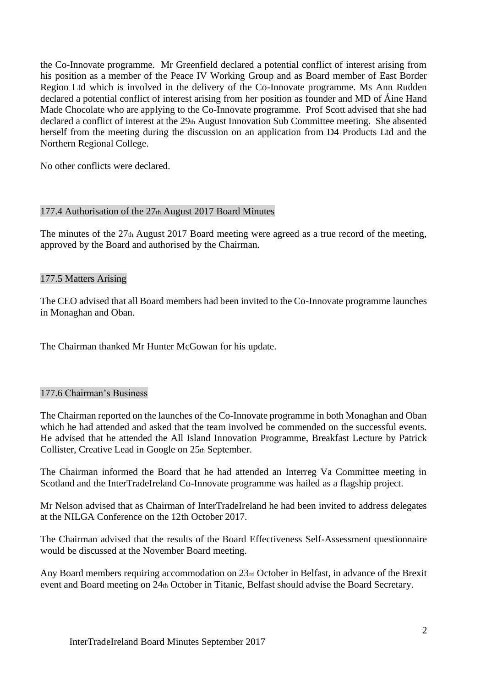the Co-Innovate programme. Mr Greenfield declared a potential conflict of interest arising from his position as a member of the Peace IV Working Group and as Board member of East Border Region Ltd which is involved in the delivery of the Co-Innovate programme. Ms Ann Rudden declared a potential conflict of interest arising from her position as founder and MD of Áine Hand Made Chocolate who are applying to the Co-Innovate programme. Prof Scott advised that she had declared a conflict of interest at the 29th August Innovation Sub Committee meeting. She absented herself from the meeting during the discussion on an application from D4 Products Ltd and the Northern Regional College.

No other conflicts were declared.

## 177.4 Authorisation of the 27th August 2017 Board Minutes

The minutes of the 27th August 2017 Board meeting were agreed as a true record of the meeting, approved by the Board and authorised by the Chairman.

## 177.5 Matters Arising

The CEO advised that all Board members had been invited to the Co-Innovate programme launches in Monaghan and Oban.

The Chairman thanked Mr Hunter McGowan for his update.

#### 177.6 Chairman's Business

The Chairman reported on the launches of the Co-Innovate programme in both Monaghan and Oban which he had attended and asked that the team involved be commended on the successful events. He advised that he attended the All Island Innovation Programme, Breakfast Lecture by Patrick Collister, Creative Lead in Google on 25th September.

The Chairman informed the Board that he had attended an Interreg Va Committee meeting in Scotland and the InterTradeIreland Co-Innovate programme was hailed as a flagship project.

Mr Nelson advised that as Chairman of InterTradeIreland he had been invited to address delegates at the NILGA Conference on the 12th October 2017.

The Chairman advised that the results of the Board Effectiveness Self-Assessment questionnaire would be discussed at the November Board meeting.

Any Board members requiring accommodation on 23rd October in Belfast, in advance of the Brexit event and Board meeting on 24th October in Titanic, Belfast should advise the Board Secretary.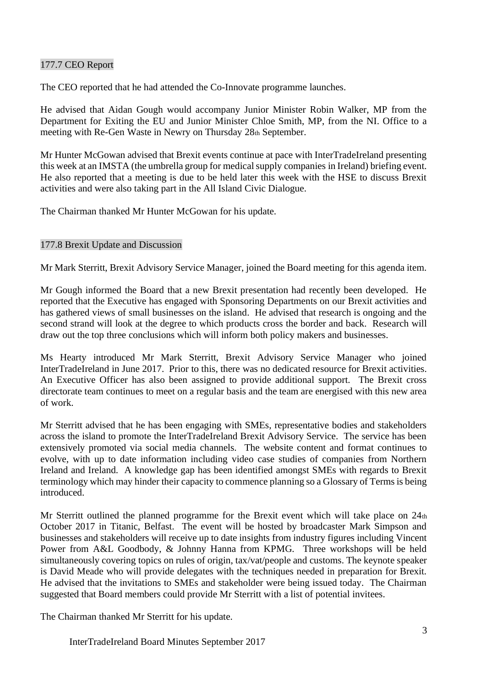## 177.7 CEO Report

The CEO reported that he had attended the Co-Innovate programme launches.

He advised that Aidan Gough would accompany Junior Minister Robin Walker, MP from the Department for Exiting the EU and Junior Minister Chloe Smith, MP, from the NI. Office to a meeting with Re-Gen Waste in Newry on Thursday 28th September.

Mr Hunter McGowan advised that Brexit events continue at pace with InterTradeIreland presenting this week at an IMSTA (the umbrella group for medical supply companies in Ireland) briefing event. He also reported that a meeting is due to be held later this week with the HSE to discuss Brexit activities and were also taking part in the All Island Civic Dialogue.

The Chairman thanked Mr Hunter McGowan for his update.

# 177.8 Brexit Update and Discussion

Mr Mark Sterritt, Brexit Advisory Service Manager, joined the Board meeting for this agenda item.

Mr Gough informed the Board that a new Brexit presentation had recently been developed. He reported that the Executive has engaged with Sponsoring Departments on our Brexit activities and has gathered views of small businesses on the island. He advised that research is ongoing and the second strand will look at the degree to which products cross the border and back. Research will draw out the top three conclusions which will inform both policy makers and businesses.

Ms Hearty introduced Mr Mark Sterritt, Brexit Advisory Service Manager who joined InterTradeIreland in June 2017. Prior to this, there was no dedicated resource for Brexit activities. An Executive Officer has also been assigned to provide additional support. The Brexit cross directorate team continues to meet on a regular basis and the team are energised with this new area of work.

Mr Sterritt advised that he has been engaging with SMEs, representative bodies and stakeholders across the island to promote the InterTradeIreland Brexit Advisory Service. The service has been extensively promoted via social media channels. The website content and format continues to evolve, with up to date information including video case studies of companies from Northern Ireland and Ireland. A knowledge gap has been identified amongst SMEs with regards to Brexit terminology which may hinder their capacity to commence planning so a Glossary of Terms is being introduced.

Mr Sterritt outlined the planned programme for the Brexit event which will take place on 24th October 2017 in Titanic, Belfast. The event will be hosted by broadcaster Mark Simpson and businesses and stakeholders will receive up to date insights from industry figures including Vincent Power from A&L Goodbody, & Johnny Hanna from KPMG. Three workshops will be held simultaneously covering topics on rules of origin, tax/vat/people and customs. The keynote speaker is David Meade who will provide delegates with the techniques needed in preparation for Brexit. He advised that the invitations to SMEs and stakeholder were being issued today. The Chairman suggested that Board members could provide Mr Sterritt with a list of potential invitees.

The Chairman thanked Mr Sterritt for his update.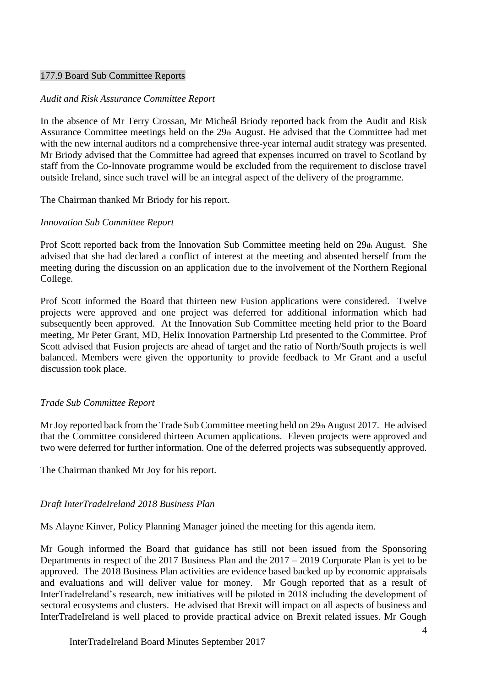#### 177.9 Board Sub Committee Reports

#### *Audit and Risk Assurance Committee Report*

In the absence of Mr Terry Crossan, Mr Micheál Briody reported back from the Audit and Risk Assurance Committee meetings held on the 29th August. He advised that the Committee had met with the new internal auditors nd a comprehensive three-year internal audit strategy was presented. Mr Briody advised that the Committee had agreed that expenses incurred on travel to Scotland by staff from the Co-Innovate programme would be excluded from the requirement to disclose travel outside Ireland, since such travel will be an integral aspect of the delivery of the programme.

The Chairman thanked Mr Briody for his report.

## *Innovation Sub Committee Report*

Prof Scott reported back from the Innovation Sub Committee meeting held on 29th August. She advised that she had declared a conflict of interest at the meeting and absented herself from the meeting during the discussion on an application due to the involvement of the Northern Regional College.

Prof Scott informed the Board that thirteen new Fusion applications were considered. Twelve projects were approved and one project was deferred for additional information which had subsequently been approved. At the Innovation Sub Committee meeting held prior to the Board meeting, Mr Peter Grant, MD, Helix Innovation Partnership Ltd presented to the Committee. Prof Scott advised that Fusion projects are ahead of target and the ratio of North/South projects is well balanced. Members were given the opportunity to provide feedback to Mr Grant and a useful discussion took place.

#### *Trade Sub Committee Report*

Mr Joy reported back from the Trade Sub Committee meeting held on 29th August 2017. He advised that the Committee considered thirteen Acumen applications. Eleven projects were approved and two were deferred for further information. One of the deferred projects was subsequently approved.

The Chairman thanked Mr Joy for his report.

# *Draft InterTradeIreland 2018 Business Plan*

Ms Alayne Kinver, Policy Planning Manager joined the meeting for this agenda item.

Mr Gough informed the Board that guidance has still not been issued from the Sponsoring Departments in respect of the 2017 Business Plan and the 2017 – 2019 Corporate Plan is yet to be approved. The 2018 Business Plan activities are evidence based backed up by economic appraisals and evaluations and will deliver value for money. Mr Gough reported that as a result of InterTradeIreland's research, new initiatives will be piloted in 2018 including the development of sectoral ecosystems and clusters. He advised that Brexit will impact on all aspects of business and InterTradeIreland is well placed to provide practical advice on Brexit related issues. Mr Gough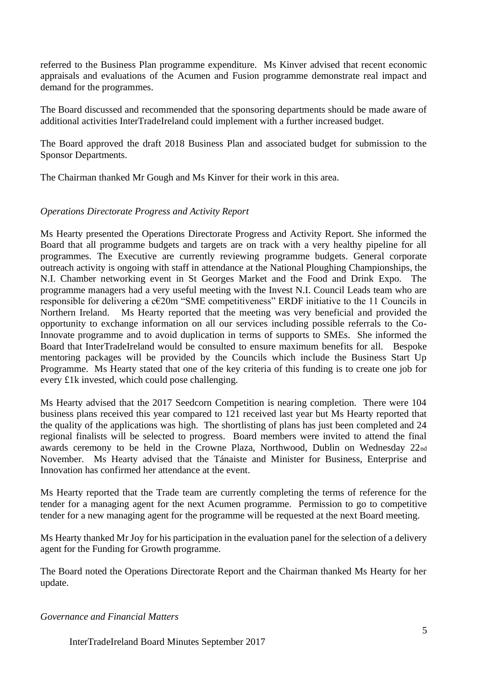referred to the Business Plan programme expenditure. Ms Kinver advised that recent economic appraisals and evaluations of the Acumen and Fusion programme demonstrate real impact and demand for the programmes.

The Board discussed and recommended that the sponsoring departments should be made aware of additional activities InterTradeIreland could implement with a further increased budget.

The Board approved the draft 2018 Business Plan and associated budget for submission to the Sponsor Departments.

The Chairman thanked Mr Gough and Ms Kinver for their work in this area.

# *Operations Directorate Progress and Activity Report*

Ms Hearty presented the Operations Directorate Progress and Activity Report. She informed the Board that all programme budgets and targets are on track with a very healthy pipeline for all programmes. The Executive are currently reviewing programme budgets. General corporate outreach activity is ongoing with staff in attendance at the National Ploughing Championships, the N.I. Chamber networking event in St Georges Market and the Food and Drink Expo. The programme managers had a very useful meeting with the Invest N.I. Council Leads team who are responsible for delivering a c€20m "SME competitiveness" ERDF initiative to the 11 Councils in Northern Ireland. Ms Hearty reported that the meeting was very beneficial and provided the opportunity to exchange information on all our services including possible referrals to the Co-Innovate programme and to avoid duplication in terms of supports to SMEs. She informed the Board that InterTradeIreland would be consulted to ensure maximum benefits for all. Bespoke mentoring packages will be provided by the Councils which include the Business Start Up Programme. Ms Hearty stated that one of the key criteria of this funding is to create one job for every £1k invested, which could pose challenging.

Ms Hearty advised that the 2017 Seedcorn Competition is nearing completion. There were 104 business plans received this year compared to 121 received last year but Ms Hearty reported that the quality of the applications was high. The shortlisting of plans has just been completed and 24 regional finalists will be selected to progress. Board members were invited to attend the final awards ceremony to be held in the Crowne Plaza, Northwood, Dublin on Wednesday 22nd November. Ms Hearty advised that the Tánaiste and Minister for Business, Enterprise and Innovation has confirmed her attendance at the event.

Ms Hearty reported that the Trade team are currently completing the terms of reference for the tender for a managing agent for the next Acumen programme. Permission to go to competitive tender for a new managing agent for the programme will be requested at the next Board meeting.

Ms Hearty thanked Mr Joy for his participation in the evaluation panel for the selection of a delivery agent for the Funding for Growth programme.

The Board noted the Operations Directorate Report and the Chairman thanked Ms Hearty for her update.

#### *Governance and Financial Matters*

InterTradeIreland Board Minutes September 2017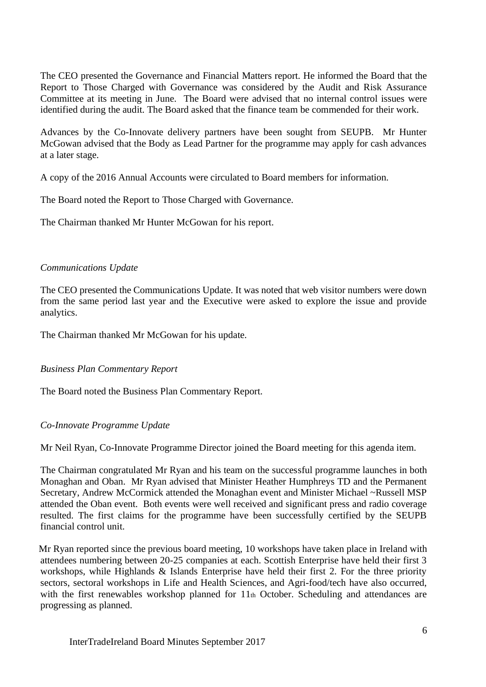The CEO presented the Governance and Financial Matters report. He informed the Board that the Report to Those Charged with Governance was considered by the Audit and Risk Assurance Committee at its meeting in June. The Board were advised that no internal control issues were identified during the audit. The Board asked that the finance team be commended for their work.

Advances by the Co-Innovate delivery partners have been sought from SEUPB. Mr Hunter McGowan advised that the Body as Lead Partner for the programme may apply for cash advances at a later stage.

A copy of the 2016 Annual Accounts were circulated to Board members for information.

The Board noted the Report to Those Charged with Governance.

The Chairman thanked Mr Hunter McGowan for his report.

## *Communications Update*

The CEO presented the Communications Update. It was noted that web visitor numbers were down from the same period last year and the Executive were asked to explore the issue and provide analytics.

The Chairman thanked Mr McGowan for his update.

# *Business Plan Commentary Report*

The Board noted the Business Plan Commentary Report.

# *Co-Innovate Programme Update*

Mr Neil Ryan, Co-Innovate Programme Director joined the Board meeting for this agenda item.

The Chairman congratulated Mr Ryan and his team on the successful programme launches in both Monaghan and Oban. Mr Ryan advised that Minister Heather Humphreys TD and the Permanent Secretary, Andrew McCormick attended the Monaghan event and Minister Michael ~Russell MSP attended the Oban event. Both events were well received and significant press and radio coverage resulted. The first claims for the programme have been successfully certified by the SEUPB financial control unit.

 Mr Ryan reported since the previous board meeting, 10 workshops have taken place in Ireland with attendees numbering between 20-25 companies at each. Scottish Enterprise have held their first 3 workshops, while Highlands & Islands Enterprise have held their first 2. For the three priority sectors, sectoral workshops in Life and Health Sciences, and Agri-food/tech have also occurred, with the first renewables workshop planned for 11th October. Scheduling and attendances are progressing as planned.